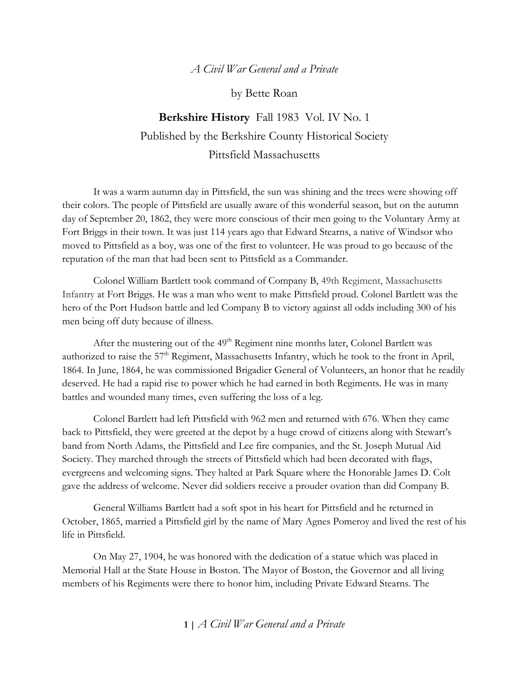## *A Civil War General and a Private*

by Bette Roan

## **Berkshire History** Fall 1983 Vol. IV No. 1 Published by the Berkshire County Historical Society Pittsfield Massachusetts

It was a warm autumn day in Pittsfield, the sun was shining and the trees were showing off their colors. The people of Pittsfield are usually aware of this wonderful season, but on the autumn day of September 20, 1862, they were more conscious of their men going to the Voluntary Army at Fort Briggs in their town. It was just 114 years ago that Edward Stearns, a native of Windsor who moved to Pittsfield as a boy, was one of the first to volunteer. He was proud to go because of the reputation of the man that had been sent to Pittsfield as a Commander.

Colonel William Bartlett took command of Company B, 49th Regiment, Massachusetts Infantry at Fort Briggs. He was a man who went to make Pittsfield proud. Colonel Bartlett was the hero of the Port Hudson battle and led Company B to victory against all odds including 300 of his men being off duty because of illness.

After the mustering out of the 49<sup>th</sup> Regiment nine months later, Colonel Bartlett was authorized to raise the 57<sup>th</sup> Regiment, Massachusetts Infantry, which he took to the front in April, 1864. In June, 1864, he was commissioned Brigadier General of Volunteers, an honor that he readily deserved. He had a rapid rise to power which he had earned in both Regiments. He was in many battles and wounded many times, even suffering the loss of a leg.

Colonel Bartlett had left Pittsfield with 962 men and returned with 676. When they came back to Pittsfield, they were greeted at the depot by a huge crowd of citizens along with Stewart's band from North Adams, the Pittsfield and Lee fire companies, and the St. Joseph Mutual Aid Society. They marched through the streets of Pittsfield which had been decorated with flags, evergreens and welcoming signs. They halted at Park Square where the Honorable James D. Colt gave the address of welcome. Never did soldiers receive a prouder ovation than did Company B.

General Williams Bartlett had a soft spot in his heart for Pittsfield and he returned in October, 1865, married a Pittsfield girl by the name of Mary Agnes Pomeroy and lived the rest of his life in Pittsfield.

On May 27, 1904, he was honored with the dedication of a statue which was placed in Memorial Hall at the State House in Boston. The Mayor of Boston, the Governor and all living members of his Regiments were there to honor him, including Private Edward Stearns. The

**1 |** *A Civil War General and a Private*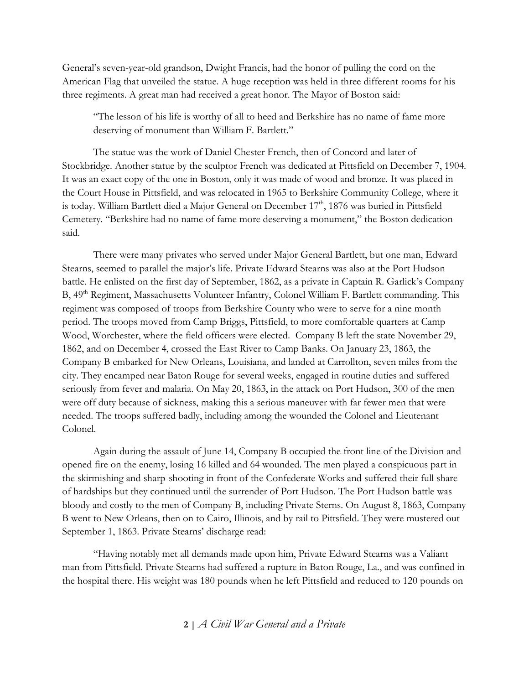General's seven-year-old grandson, Dwight Francis, had the honor of pulling the cord on the American Flag that unveiled the statue. A huge reception was held in three different rooms for his three regiments. A great man had received a great honor. The Mayor of Boston said:

"The lesson of his life is worthy of all to heed and Berkshire has no name of fame more deserving of monument than William F. Bartlett."

The statue was the work of Daniel Chester French, then of Concord and later of Stockbridge. Another statue by the sculptor French was dedicated at Pittsfield on December 7, 1904. It was an exact copy of the one in Boston, only it was made of wood and bronze. It was placed in the Court House in Pittsfield, and was relocated in 1965 to Berkshire Community College, where it is today. William Bartlett died a Major General on December 17<sup>th</sup>, 1876 was buried in Pittsfield Cemetery. "Berkshire had no name of fame more deserving a monument," the Boston dedication said.

There were many privates who served under Major General Bartlett, but one man, Edward Stearns, seemed to parallel the major's life. Private Edward Stearns was also at the Port Hudson battle. He enlisted on the first day of September, 1862, as a private in Captain R. Garlick's Company B, 49<sup>th</sup> Regiment, Massachusetts Volunteer Infantry, Colonel William F. Bartlett commanding. This regiment was composed of troops from Berkshire County who were to serve for a nine month period. The troops moved from Camp Briggs, Pittsfield, to more comfortable quarters at Camp Wood, Worchester, where the field officers were elected. Company B left the state November 29, 1862, and on December 4, crossed the East River to Camp Banks. On January 23, 1863, the Company B embarked for New Orleans, Louisiana, and landed at Carrollton, seven miles from the city. They encamped near Baton Rouge for several weeks, engaged in routine duties and suffered seriously from fever and malaria. On May 20, 1863, in the attack on Port Hudson, 300 of the men were off duty because of sickness, making this a serious maneuver with far fewer men that were needed. The troops suffered badly, including among the wounded the Colonel and Lieutenant Colonel.

Again during the assault of June 14, Company B occupied the front line of the Division and opened fire on the enemy, losing 16 killed and 64 wounded. The men played a conspicuous part in the skirmishing and sharp-shooting in front of the Confederate Works and suffered their full share of hardships but they continued until the surrender of Port Hudson. The Port Hudson battle was bloody and costly to the men of Company B, including Private Sterns. On August 8, 1863, Company B went to New Orleans, then on to Cairo, Illinois, and by rail to Pittsfield. They were mustered out September 1, 1863. Private Stearns' discharge read:

"Having notably met all demands made upon him, Private Edward Stearns was a Valiant man from Pittsfield. Private Stearns had suffered a rupture in Baton Rouge, La., and was confined in the hospital there. His weight was 180 pounds when he left Pittsfield and reduced to 120 pounds on

**2 |** *A Civil War General and a Private*